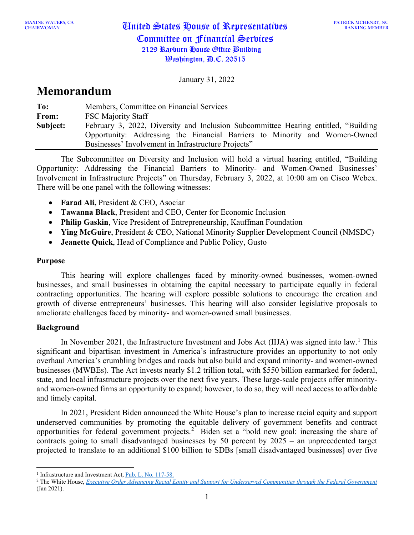# CHAIRWOMAN United States House of Representatives Committee on Financial Services 2129 Rayburn House Office Building  $\mathcal{W}$ ashington,  $\mathcal{P}$ .C. 20515

January 31, 2022

## **Memorandum**

| To:      | Members, Committee on Financial Services                                            |
|----------|-------------------------------------------------------------------------------------|
| From:    | <b>FSC Majority Staff</b>                                                           |
| Subject: | February 3, 2022, Diversity and Inclusion Subcommittee Hearing entitled, "Building" |
|          | Opportunity: Addressing the Financial Barriers to Minority and Women-Owned          |
|          | Businesses' Involvement in Infrastructure Projects"                                 |

The Subcommittee on Diversity and Inclusion will hold a virtual hearing entitled, "Building Opportunity: Addressing the Financial Barriers to Minority- and Women-Owned Businesses' Involvement in Infrastructure Projects" on Thursday, February 3, 2022, at 10:00 am on Cisco Webex. There will be one panel with the following witnesses:

- **Farad Ali,** President & CEO, Asociar
- **Tawanna Black**, President and CEO, Center for Economic Inclusion
- **Philip Gaskin**, Vice President of Entrepreneurship, Kauffman Foundation
- **Ying McGuire**, President & CEO, National Minority Supplier Development Council (NMSDC)
- **Jeanette Quick**, Head of Compliance and Public Policy, Gusto

## **Purpose**

This hearing will explore challenges faced by minority-owned businesses, women-owned businesses, and small businesses in obtaining the capital necessary to participate equally in federal contracting opportunities. The hearing will explore possible solutions to encourage the creation and growth of diverse entrepreneurs' businesses. This hearing will also consider legislative proposals to ameliorate challenges faced by minority- and women-owned small businesses.

## **Background**

In November 202[1](#page-0-0), the Infrastructure Investment and Jobs Act (IIJA) was signed into law.<sup>1</sup> This significant and bipartisan investment in America's infrastructure provides an opportunity to not only overhaul America's crumbling bridges and roads but also build and expand minority- and women-owned businesses (MWBEs). The Act invests nearly \$1.2 trillion total, with \$550 billion earmarked for federal, state, and local infrastructure projects over the next five years. These large-scale projects offer minorityand women-owned firms an opportunity to expand; however, to do so, they will need access to affordable and timely capital.

In 2021, President Biden announced the White House's plan to increase racial equity and support underserved communities by promoting the equitable delivery of government benefits and contract opportunities for federal government projects.<sup>[2](#page-0-1)</sup> Biden set a "bold new goal: increasing the share of contracts going to small disadvantaged businesses by 50 percent by 2025 – an unprecedented target projected to translate to an additional \$100 billion to SDBs [small disadvantaged businesses] over five

<span id="page-0-0"></span><sup>&</sup>lt;sup>1</sup> Infrastructure and Investment Act[, Pub. L. No. 117-58.](https://www.congress.gov/117/plaws/publ58/PLAW-117publ58.pdf)

<span id="page-0-1"></span><sup>2</sup> The White House, *[Executive Order Advancing Racial Equity and Support for Underserved Communities through the Federal Government](https://www.whitehouse.gov/briefing-room/presidential-actions/2021/01/20/executive-order-advancing-racial-equity-and-support-for-underserved-communities-through-the-federal-government/)* (Jan 2021).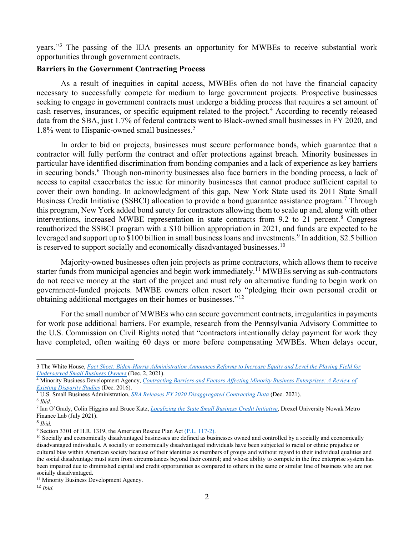years."[3](#page-1-0) The passing of the IIJA presents an opportunity for MWBEs to receive substantial work opportunities through government contracts.

#### **Barriers in the Government Contracting Process**

As a result of inequities in capital access, MWBEs often do not have the financial capacity necessary to successfully compete for medium to large government projects. Prospective businesses seeking to engage in government contracts must undergo a bidding process that requires a set amount of cash reserves, insurances, or specific equipment related to the project.<sup>[4](#page-1-1)</sup> According to recently released data from the SBA, just 1.7% of federal contracts went to Black-owned small businesses in FY 2020, and 1.8% went to Hispanic-owned small businesses.<sup>[5](#page-1-2)</sup>

In order to bid on projects, businesses must secure performance bonds, which guarantee that a contractor will fully perform the contract and offer protections against breach. Minority businesses in particular have identified discrimination from bonding companies and a lack of experience as key barriers in securing bonds.<sup>[6](#page-1-3)</sup> Though non-minority businesses also face barriers in the bonding process, a lack of access to capital exacerbates the issue for minority businesses that cannot produce sufficient capital to cover their own bonding. In acknowledgment of this gap, New York State used its 2011 State Small Business Credit Initiative (SSBCI) allocation to provide a bond guarantee assistance program.<sup>[7](#page-1-4)</sup> Through this program, New York added bond surety for contractors allowing them to scale up and, along with other interventions, increased MWBE representation in state contracts from 9.2 to  $21$  percent.<sup>[8](#page-1-5)</sup> Congress reauthorized the SSBCI program with a \$10 billion appropriation in 2021, and funds are expected to be leveraged and support up to \$100 billion in small business loans and investments.<sup>[9](#page-1-6)</sup> In addition, \$2.5 billion is reserved to support socially and economically disadvantaged businesses.<sup>[10](#page-1-7)</sup>

Majority-owned businesses often join projects as prime contractors, which allows them to receive starter funds from municipal agencies and begin work immediately.<sup>[11](#page-1-8)</sup> MWBEs serving as sub-contractors do not receive money at the start of the project and must rely on alternative funding to begin work on government-funded projects. MWBE owners often resort to "pledging their own personal credit or obtaining additional mortgages on their homes or businesses."[12](#page-1-9)

For the small number of MWBEs who can secure government contracts, irregularities in payments for work pose additional barriers. For example, research from the Pennsylvania Advisory Committee to the U.S. Commission on Civil Rights noted that "contractors intentionally delay payment for work they have completed, often waiting 60 days or more before compensating MWBEs. When delays occur,

<span id="page-1-0"></span><sup>3</sup> The White House, *[Fact Sheet: Biden-Harris Administration Announces Reforms to Increase Equity and Level the Playing Field for](https://www.whitehouse.gov/briefing-room/statements-releases/2021/12/02/fact-sheet-biden-harris-administration-announces-reforms-to-increase-equity-and-level-the-playing-field-for-underserved-small-business-owners/#:%7E:text=For%20this%20reason%2C%20at%20the,to%20SDBs%20over%205%20years.)  [Underserved Small Business Owners](https://www.whitehouse.gov/briefing-room/statements-releases/2021/12/02/fact-sheet-biden-harris-administration-announces-reforms-to-increase-equity-and-level-the-playing-field-for-underserved-small-business-owners/#:%7E:text=For%20this%20reason%2C%20at%20the,to%20SDBs%20over%205%20years.)* (Dec. 2, 2021).

<span id="page-1-1"></span><sup>4</sup> Minority Business Development Agency, *[Contracting Barriers and Factors Affecting Minority Business Enterprises: A Review of](https://archive.mbda.gov/sites/mbda.gov/files/migrated/files-attachments/ContractingBarriers_AReviewofExistingDisparityStudies.pdf)  [Existing Disparity Studies](https://archive.mbda.gov/sites/mbda.gov/files/migrated/files-attachments/ContractingBarriers_AReviewofExistingDisparityStudies.pdf)* (Dec. 2016).

<span id="page-1-3"></span><span id="page-1-2"></span><sup>5</sup> U.S. Small Business Administration, *SBA Releases FY 2020 Disaggregated Contracting Data* (Dec. 2021). 6 *Ibid.*

<span id="page-1-4"></span><sup>7</sup> Ian O'Grady, Colin Higgins and Bruce Katz, *[Localizing the State Small Business Credit Initiative](https://drexel.edu/%7E/media/Files/nowak-lab/LOCALIZING%20THE%20STATE%20SMALL%20BUSINESS%20CREDIT%20INITIATIVE.ashx)*, Drexel University Nowak Metro Finance Lab (July 2021).

<span id="page-1-5"></span><sup>8</sup> *Ibid.*

<span id="page-1-6"></span><sup>&</sup>lt;sup>9</sup> Section 3301 of H.R. 1319, the American Rescue Plan Act [\(P.L. 117-2\).](https://www.congress.gov/bill/117th-congress/house-bill/1319/text#toc-HF355B9BD94E74FA0B332087DB965D665)

<span id="page-1-7"></span><sup>&</sup>lt;sup>10</sup> Socially and economically disadvantaged businesses are defined as businesses owned and controlled by a socially and economically disadvantaged individuals. A socially or economically disadvantaged individuals have been subjected to racial or ethnic prejudice or cultural bias within American society because of their identities as members of groups and without regard to their individual qualities and the social disadvantage must stem from circumstances beyond their control; and whose ability to compete in the free enterprise system has been impaired due to diminished capital and credit opportunities as compared to others in the same or similar line of business who are not socially disadvantaged.

<span id="page-1-8"></span><sup>&</sup>lt;sup>11</sup> Minority Business Development Agency.

<span id="page-1-9"></span><sup>12</sup> *Ibid.*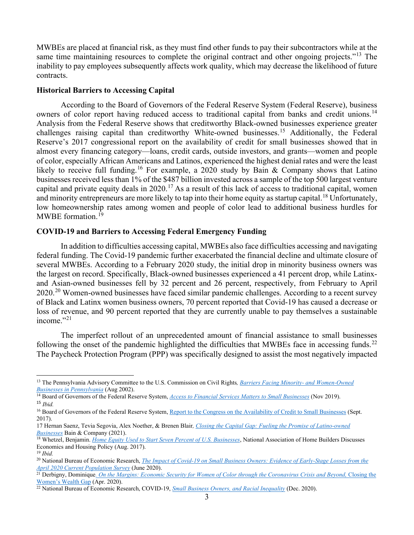MWBEs are placed at financial risk, as they must find other funds to pay their subcontractors while at the same time maintaining resources to complete the original contract and other ongoing projects."<sup>[13](#page-2-0)</sup> The inability to pay employees subsequently affects work quality, which may decrease the likelihood of future contracts.

#### **Historical Barriers to Accessing Capital**

According to the Board of Governors of the Federal Reserve System (Federal Reserve), business owners of color report having reduced access to traditional capital from banks and credit unions.<sup>[14](#page-2-1)</sup> Analysis from the Federal Reserve shows that creditworthy Black-owned businesses experience greater challenges raising capital than creditworthy White-owned businesses.[15](#page-2-2) Additionally, the Federal Reserve's 2017 congressional report on the availability of credit for small businesses showed that in almost every financing category—loans, credit cards, outside investors, and grants—women and people of color, especially African Americans and Latinos, experienced the highest denial rates and were the least likely to receive full funding.<sup>[16](#page-2-3)</sup> For example, a 2020 study by Bain & Company shows that Latino businesses received less than 1% of the \$487 billion invested across a sample of the top 500 largest venture capital and private equity deals in 2020.<sup>[17](#page-2-4)</sup> As a result of this lack of access to traditional capital, women and minority entrepreneurs are more likely to tap into their home equity as startup capital.<sup>[18](#page-2-5)</sup> Unfortunately, low homeownership rates among women and people of color lead to additional business hurdles for MWBE formation.[19](#page-2-6)

#### **COVID-19 and Barriers to Accessing Federal Emergency Funding**

In addition to difficulties accessing capital, MWBEs also face difficulties accessing and navigating federal funding. The Covid-19 pandemic further exacerbated the financial decline and ultimate closure of several MWBEs. According to a February 2020 study, the initial drop in minority business owners was the largest on record. Specifically, Black-owned businesses experienced a 41 percent drop, while Latinxand Asian-owned businesses fell by 32 percent and 26 percent, respectively, from February to April [20](#page-2-7)20.<sup>20</sup> Women-owned businesses have faced similar pandemic challenges. According to a recent survey of Black and Latinx women business owners, 70 percent reported that Covid-19 has caused a decrease or loss of revenue, and 90 percent reported that they are currently unable to pay themselves a sustainable income."<sup>[21](#page-2-8)</sup>

The imperfect rollout of an unprecedented amount of financial assistance to small businesses following the onset of the pandemic highlighted the difficulties that MWBEs face in accessing funds.<sup>[22](#page-2-9)</sup> The Paycheck Protection Program (PPP) was specifically designed to assist the most negatively impacted

<span id="page-2-0"></span><sup>13</sup> The Pennsylvania Advisory Committee to the U.S. Commission on Civil Rights*[, Barriers Facing Minority-](https://www.usccr.gov/files/pubs/sac/pa0802/pa0802.pdf) and Women-Owned [Businesses in Pennsylvania](https://www.usccr.gov/files/pubs/sac/pa0802/pa0802.pdf)* (Aug 2002).

<span id="page-2-2"></span><span id="page-2-1"></span><sup>14</sup> Board of Governors of the Federal Reserve System, *[Access to Financial Services Matters to Small Businesses](https://www.federalreserve.gov/publications/2019-november-consumer-community-context.htm)* (Nov 2019). <sup>15</sup> *Ibid.*

<span id="page-2-3"></span><sup>&</sup>lt;sup>16</sup> Board of Governors of the Federal Reserve System, [Report to the Congress on the Availability of Credit to Small Businesses](https://www.federalreserve.gov/publications/2017-september-availability-of-credit-to-small-businesses.htm) (Sept. 2017).

<span id="page-2-4"></span><sup>17</sup> Hernan Saenz, Tevia Segovia, Alex Noether, & Brenen Blair*[, Closing the Capital Gap: Fueling the Promise of Latino-owned](https://www.bain.com/insights/closing-the-capital-gap-fueling-the-promise-of-latino-owned-businesses/)  [Businesses](https://www.bain.com/insights/closing-the-capital-gap-fueling-the-promise-of-latino-owned-businesses/)* Bain & Company (2021).

<span id="page-2-5"></span><sup>&</sup>lt;sup>18</sup> Whetzel, Benjamin. *[Home Equity Used to Start Seven Percent of U.S. Businesses](https://eyeonhousing.org/2017/08/home-equity-used-to-start-seven-percent-of-u-s-businesses/)*, National Association of Home Builders Discusses Economics and Housing Policy (Aug. 2017).

<span id="page-2-6"></span><sup>19</sup> *Ibid.*

<span id="page-2-7"></span><sup>&</sup>lt;sup>20</sup> National Bureau of Economic Research, *[The Impact of Covid-19 on Small Business Owners: Evidence of Early-Stage Losses from the](https://www.nber.org/papers/w27309.) April 2020 Current Population Survey (June 2020).* 

<span id="page-2-8"></span><sup>&</sup>lt;sup>21</sup> Derbigny, Dominique[. On the Margins: Economic Security for Women of Color through the Coronavirus Crisis and Beyond,](https://womenswealthgap.org/wp-content/uploads/2020/04/OnTheMargins_April2020_CWWG.pdf.) Closing the Women's Wealth Gap (Apr. 2020). 22 National Bureau of Economic Research, COVID-19, *[Small Business Owners, and Racial Inequality](https://www.nber.org/reporter/2020number4/covid-19-small-business-owners-and-racial-inequality)* (Dec. 2020).

<span id="page-2-9"></span>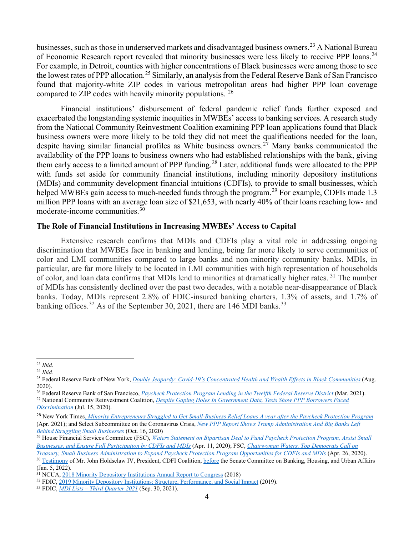businesses, such as those in underserved markets and disadvantaged business owners.[23](#page-3-0) A National Bureau of Economic Research report revealed that minority businesses were less likely to receive PPP loans.[24](#page-3-1) For example, in Detroit, counties with higher concentrations of Black businesses were among those to see the lowest rates of PPP allocation.<sup>[25](#page-3-2)</sup> Similarly, an analysis from the Federal Reserve Bank of San Francisco found that majority-white ZIP codes in various metropolitan areas had higher PPP loan coverage compared to ZIP codes with heavily minority populations. [26](#page-3-3)

Financial institutions' disbursement of federal pandemic relief funds further exposed and exacerbated the longstanding systemic inequities in MWBEs' access to banking services. A research study from the National Community Reinvestment Coalition examining PPP loan applications found that Black business owners were more likely to be told they did not meet the qualifications needed for the loan, despite having similar financial profiles as White business owners.<sup>[27](#page-3-4)</sup> Many banks communicated the availability of the PPP loans to business owners who had established relationships with the bank, giving them early access to a limited amount of PPP funding.<sup>[28](#page-3-5)</sup> Later, additional funds were allocated to the PPP with funds set aside for community financial institutions, including minority depository institutions (MDIs) and community development financial intuitions (CDFIs), to provide to small businesses, which helped MWBEs gain access to much-needed funds through the program.<sup>[29](#page-3-6)</sup> For example, CDFIs made 1.3 million PPP loans with an average loan size of \$21,653, with nearly 40% of their loans reaching low- and moderate-income communities. [30](#page-3-7)

#### **The Role of Financial Institutions in Increasing MWBEs' Access to Capital**

Extensive research confirms that MDIs and CDFIs play a vital role in addressing ongoing discrimination that MWBEs face in banking and lending, being far more likely to serve communities of color and LMI communities compared to large banks and non-minority community banks. MDIs, in particular, are far more likely to be located in LMI communities with high representation of households of color, and loan data confirms that MDIs lend to minorities at dramatically higher rates. [31](#page-3-8) The number of MDIs has consistently declined over the past two decades, with a notable near-disappearance of Black banks. Today, MDIs represent 2.8% of FDIC-insured banking charters, 1.3% of assets, and 1.7% of banking offices.<sup>[32](#page-3-9)</sup> As of the September 30, 2021, there are 146 MDI banks.<sup>[33](#page-3-10)</sup>

<span id="page-3-0"></span><sup>23</sup> *Ibid*.

<span id="page-3-1"></span><sup>24</sup> *Ibid.*

<span id="page-3-2"></span><sup>25</sup> Federal Reserve Bank of New York, *[Double Jeopardy: Covid-19's Concentrated Health and Wealth Effects in Black Communities](https://www.newyorkfed.org/medialibrary/media/smallbusiness/DoubleJeopardy_COVID19andBlackOwnedBusinesses)* (Aug. 2020).

<span id="page-3-3"></span><sup>&</sup>lt;sup>26</sup> Federal Reserve Bank of San Francisco, *[Paycheck Protection Program Lending in the Twelfth Federal Reserve District](https://www.frbsf.org/community-development/publications/community-development-research-briefs/2021/february/ppp-lending-12th-district/)* (Mar. 2021).

<span id="page-3-4"></span><sup>27</sup> National Community Reinvestment Coalition, *[Despite Gaping Holes In Government Data, Tests Show PPP Borrowers Faced](https://ncrc.org/despite-gaping-holes-in-government-data-tests-show-ppp-borrowers-faced-discrimination/)  [Discrimination](https://ncrc.org/despite-gaping-holes-in-government-data-tests-show-ppp-borrowers-faced-discrimination/)* (Jul. 15, 2020).

<span id="page-3-5"></span><sup>28</sup> New York Times, *[Minority Entrepreneurs Struggled to Get Small-Business Relief Loans A year after the Paycheck Protection Program](https://www.nytimes.com/2021/04/04/business/ppp-loans-minority-businesses.html#:%7E:text=Black%20and%20minority%20businesses%20suffer&text=Because%20lenders%20are%20not%20required,consistently%20found%20signs%20of%20gaps)* (Apr. 2021); and Select Subcommittee on the Coronavirus Crisis, *[New PPP Report Shows Trump Administration And Big Banks Left](https://coronavirus.house.gov/news/press-releases/new-ppp-report-shows-trump-administration-and-big-banks-left-behind-struggling)  [Behind Struggling Small Businesses](https://coronavirus.house.gov/news/press-releases/new-ppp-report-shows-trump-administration-and-big-banks-left-behind-struggling)* (Oct. 16, 2020)

<span id="page-3-6"></span><sup>&</sup>lt;sup>29</sup> House Financial Services Committee (FSC), *Waters Statement on Bipartisan Deal to Fund Paycheck Protection Program, Assist Small [Businesses, and Ensure Full Participation by CDFIs and MDIs](https://financialservices.house.gov/news/documentsingle.aspx?DocumentID=406508)* (Apr. 11, 2020); FSC, *[Chairwoman Waters, Top Democrats Call on](https://financialservices.house.gov/news/documentsingle.aspx?DocumentID=406516)  [Treasury, Small Business Administration to Expand Paycheck Protection Program Opportunities for CDFIs and MDIs](https://financialservices.house.gov/news/documentsingle.aspx?DocumentID=406516)* (Apr. 26, 2020).

<span id="page-3-7"></span><sup>&</sup>lt;sup>30</sup> [Testimony](https://www.banking.senate.gov/imo/media/doc/Holdsclaw%20Testimony%201-5-22.pdf) of Mr. John Holdsclaw IV, President, CDFI Coalition, [before](https://www.banking.senate.gov/hearings/exploring-how-community-development-financial-institutions-support-underserved-communities) the Senate Committee on Banking, Housing, and Urban Affairs (Jan. 5, 2022).

<span id="page-3-8"></span><sup>&</sup>lt;sup>31</sup> NCUA, [2018 Minority Depository Institutions Annual Report to Congress](https://www.ncua.gov/files/publications/2018-mdi-congressional-report.pdf) (2018)

<span id="page-3-9"></span><sup>32</sup> FDIC, [2019 Minority Depository Institutions: Structure, Performance, and Social Impact](https://www.fdic.gov/regulations/resources/minority/2019-mdi-study/full.pdf) (2019).

<span id="page-3-10"></span><sup>33</sup> FDIC, *MDI Lists – [Third Quarter 2021](https://www.fdic.gov/regulations/resources/minority/2021q3.xlsx)* (Sep. 30, 2021).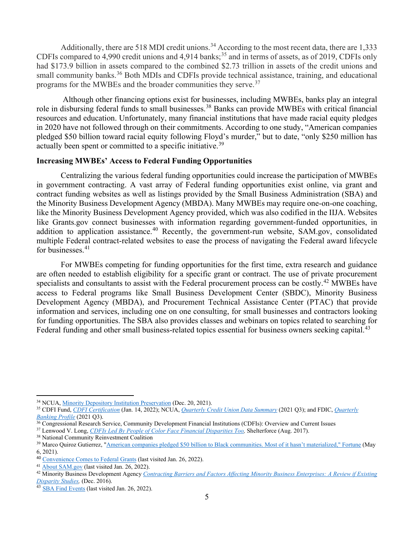Additionally, there are 518 MDI credit unions.<sup>[34](#page-4-0)</sup> According to the most recent data, there are 1,333 CDFIs compared to 4,990 credit unions and 4,914 banks;<sup>[35](#page-4-1)</sup> and in terms of assets, as of 2019, CDFIs only had \$173.9 billion in assets compared to the combined \$2.73 trillion in assets of the credit unions and small community banks.<sup>[36](#page-4-2)</sup> Both MDIs and CDFIs provide technical assistance, training, and educational programs for the MWBEs and the broader communities they serve.<sup>[37](#page-4-3)</sup>

Although other financing options exist for businesses, including MWBEs, banks play an integral role in disbursing federal funds to small businesses.<sup>[38](#page-4-4)</sup> Banks can provide MWBEs with critical financial resources and education. Unfortunately, many financial institutions that have made racial equity pledges in 2020 have not followed through on their commitments. According to one study, "American companies pledged \$50 billion toward racial equity following Floyd's murder," but to date, "only \$250 million has actually been spent or committed to a specific initiative.<sup>[39](#page-4-5)</sup>

### **Increasing MWBEs' Access to Federal Funding Opportunities**

Centralizing the various federal funding opportunities could increase the participation of MWBEs in government contracting. A vast array of Federal funding opportunities exist online, via grant and contract funding websites as well as listings provided by the Small Business Administration (SBA) and the Minority Business Development Agency (MBDA). Many MWBEs may require one-on-one coaching, like the Minority Business Development Agency provided, which was also codified in the IIJA. Websites like Grants.gov connect businesses with information regarding government-funded opportunities, in addition to application assistance.<sup>[40](#page-4-6)</sup> Recently, the government-run website, SAM.gov, consolidated multiple Federal contract-related websites to ease the process of navigating the Federal award lifecycle for businesses.<sup>[41](#page-4-7)</sup>

For MWBEs competing for funding opportunities for the first time, extra research and guidance are often needed to establish eligibility for a specific grant or contract. The use of private procurement specialists and consultants to assist with the Federal procurement process can be costly.<sup>[42](#page-4-8)</sup> MWBEs have access to Federal programs like Small Business Development Center (SBDC), Minority Business Development Agency (MBDA), and Procurement Technical Assistance Center (PTAC) that provide information and services, including one on one consulting, for small businesses and contractors looking for funding opportunities. The SBA also provides classes and webinars on topics related to searching for Federal funding and other small business-related topics essential for business owners seeking capital.<sup>[43](#page-4-9)</sup>

<span id="page-4-0"></span><sup>34</sup> NCUA, [Minority Depository Institution Preservation](https://www.ncua.gov/support-services/credit-union-resources-expansion/resources/minority-depository-institution-preservation) (Dec. 20, 2021).

<span id="page-4-1"></span><sup>35</sup> CDFI Fund, *[CDFI Certification](https://www.cdfifund.gov/programs-training/certification/cdfi)* (Jan. 14, 2022); NCUA, *[Quarterly Credit Union Data Summary](https://www.ncua.gov/files/publications/analysis/quarterly-data-summary-2021-Q3.pdf)* (2021 Q3); and FDIC, *[Quarterly](https://www.fdic.gov/analysis/quarterly-banking-profile/qbp/2021sep/qbp.pdf#page=1)  [Banking Profile](https://www.fdic.gov/analysis/quarterly-banking-profile/qbp/2021sep/qbp.pdf#page=1)* (2021 Q3).<br><sup>36</sup> Congressional Research Service, Community Development Financial Institutions (CDFIs): Overview and Current Issues

<span id="page-4-3"></span><span id="page-4-2"></span><sup>&</sup>lt;sup>37</sup> Lenwood V. Long, *CDFIs Led By People of Color Face Financial Disparities Too*, Shelterforce (Aug. 2017).

<span id="page-4-4"></span><sup>38</sup> National Community Reinvestment Coalition

<span id="page-4-5"></span><sup>39</sup> Marco Quiroz Gutierrez, ["American companies pledged \\$50 billion to Black communities. Most of it hasn't materialized," Fortune](https://fortune.com/2021/05/06/us-companies-black-communities-money-50-billion/) (May 6, 2021).

<span id="page-4-6"></span><sup>&</sup>lt;sup>40</sup> [Convenience Comes to Federal Grants](https://www.grants.gov/) (last visited Jan. 26, 2022).

<span id="page-4-7"></span><sup>41</sup> [About SAM.gov](https://www.gsa.gov/about-us/organization/federal-acquisition-service/office-of-systems-management/integrated-award-environment-iae/about-samgov) (last visited Jan. 26, 2022).

<span id="page-4-8"></span><sup>42</sup> Minority Business Development Agency *[Contracting Barriers and Factors Affecting Minority Business Enterprises: A Review if Existing](https://archive.mbda.gov/sites/mbda.gov/files/migrated/files-attachments/ContractingBarriers_AReviewofExistingDisparityStudies.pdf)  [Disparity Studies,](https://archive.mbda.gov/sites/mbda.gov/files/migrated/files-attachments/ContractingBarriers_AReviewofExistingDisparityStudies.pdf)* (Dec. 2016).

<span id="page-4-9"></span><sup>&</sup>lt;sup>43</sup> [SBA Find Events](https://www.sba.gov/events/find?dateRange=all&distance=200&pageNumber=1) (last visited Jan. 26, 2022).